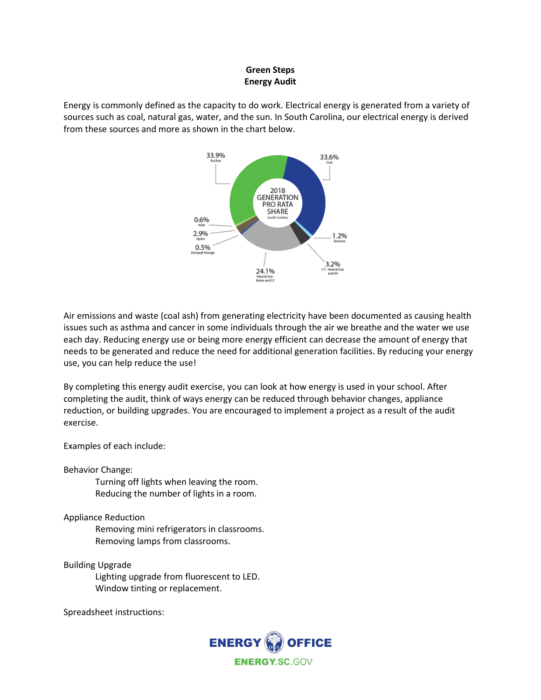## **Green Steps Energy Audit**

Energy is commonly defined as the capacity to do work. Electrical energy is generated from a variety of sources such as coal, natural gas, water, and the sun. In South Carolina, our electrical energy is derived from these sources and more as shown in the chart below.



Air emissions and waste (coal ash) from generating electricity have been documented as causing health issues such as asthma and cancer in some individuals through the air we breathe and the water we use each day. Reducing energy use or being more energy efficient can decrease the amount of energy that needs to be generated and reduce the need for additional generation facilities. By reducing your energy use, you can help reduce the use!

By completing this energy audit exercise, you can look at how energy is used in your school. After completing the audit, think of ways energy can be reduced through behavior changes, appliance reduction, or building upgrades. You are encouraged to implement a project as a result of the audit exercise.

Examples of each include:

Behavior Change:

Turning off lights when leaving the room. Reducing the number of lights in a room.

Appliance Reduction

Removing mini refrigerators in classrooms. Removing lamps from classrooms.

Building Upgrade

Lighting upgrade from fluorescent to LED. Window tinting or replacement.

Spreadsheet instructions: